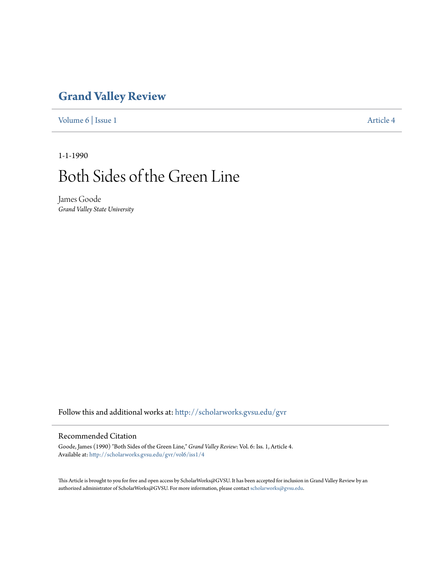# **[Grand Valley Review](http://scholarworks.gvsu.edu/gvr?utm_source=scholarworks.gvsu.edu%2Fgvr%2Fvol6%2Fiss1%2F4&utm_medium=PDF&utm_campaign=PDFCoverPages)**

[Volume 6](http://scholarworks.gvsu.edu/gvr/vol6?utm_source=scholarworks.gvsu.edu%2Fgvr%2Fvol6%2Fiss1%2F4&utm_medium=PDF&utm_campaign=PDFCoverPages) | [Issue 1](http://scholarworks.gvsu.edu/gvr/vol6/iss1?utm_source=scholarworks.gvsu.edu%2Fgvr%2Fvol6%2Fiss1%2F4&utm_medium=PDF&utm_campaign=PDFCoverPages) [Article 4](http://scholarworks.gvsu.edu/gvr/vol6/iss1/4?utm_source=scholarworks.gvsu.edu%2Fgvr%2Fvol6%2Fiss1%2F4&utm_medium=PDF&utm_campaign=PDFCoverPages)

1-1-1990

# Both Sides of the Green Line

James Goode *Grand Valley State University*

Follow this and additional works at: [http://scholarworks.gvsu.edu/gvr](http://scholarworks.gvsu.edu/gvr?utm_source=scholarworks.gvsu.edu%2Fgvr%2Fvol6%2Fiss1%2F4&utm_medium=PDF&utm_campaign=PDFCoverPages)

#### Recommended Citation

Goode, James (1990) "Both Sides of the Green Line," *Grand Valley Review*: Vol. 6: Iss. 1, Article 4. Available at: [http://scholarworks.gvsu.edu/gvr/vol6/iss1/4](http://scholarworks.gvsu.edu/gvr/vol6/iss1/4?utm_source=scholarworks.gvsu.edu%2Fgvr%2Fvol6%2Fiss1%2F4&utm_medium=PDF&utm_campaign=PDFCoverPages)

This Article is brought to you for free and open access by ScholarWorks@GVSU. It has been accepted for inclusion in Grand Valley Review by an authorized administrator of ScholarWorks@GVSU. For more information, please contact [scholarworks@gvsu.edu.](mailto:scholarworks@gvsu.edu)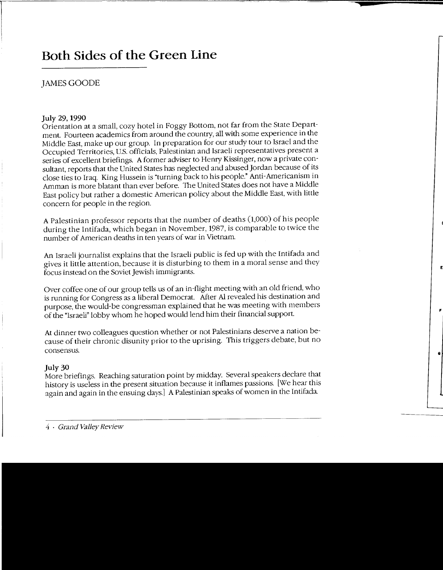# **Both Sides of the Green Line**

# JAMES GOODE

#### **July** 29, **1990**

Orientation at a small, cozy hotel in Foggy Bottom, not far from the State Department. Fourteen academics from around the country, all with some experience in the Middle East, make up our group. In preparation for our study tour to Israel and the Occupied Territories, U.S. officials, Palestinian and Israeli representatives present a series of excellent briefings. A former adviser to Henry Kissinger, now a private consultant, reports that the United States has neglected and abused Jordan because of its close ties to Iraq. King Hussein is "turning back to his people." Anti-Americanism in Amman is more blatant than ever before. The United States does not have a Middle East policy but rather a domestic American policy about the Middle East, with little concern for people in the region.

A Palestinian professor reports that the number of deaths (1,000) of his people during the Intifada, which began in November, 1987, is comparable to twice the number of American deaths in ten years of war in Vietnam.

An Israeli journalist explains that the Israeli public is fed up with the Intifada and gives it little attention, because it is disturbing to them in a moral sense and they focus instead on the Soviet Jewish immigrants.

Over coffee one of our group tells us of an in-flight meeting with an old friend, who is running for Congress as a liberal Democrat. After A1 revealed his destination and purpose, the would-be congressman explained that he was meeting with members of the "Israeli" lobby whom he hoped would lend him their financial support.

At dinner two colleagues question whether or not Palestinians deserve a nation because of their chronic disunity prior to the uprising. This triggers debate, but no consensus.

#### **July 30**

More briefings. Reaching saturation point by midday. Several speakers declare that history is useless in the present situation because **it** inflames passions. [We hear this again and again in the ensuing days.] A Palestinian speaks of women in the Intifada.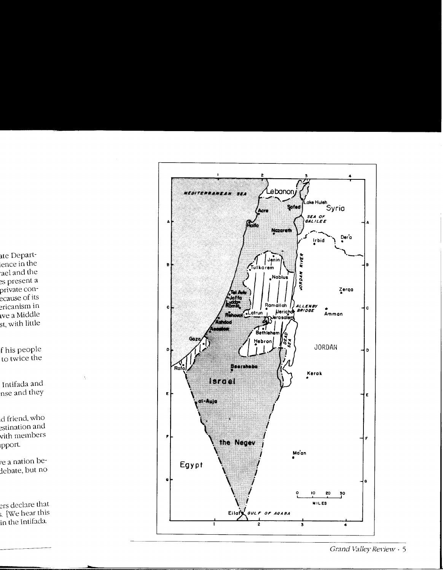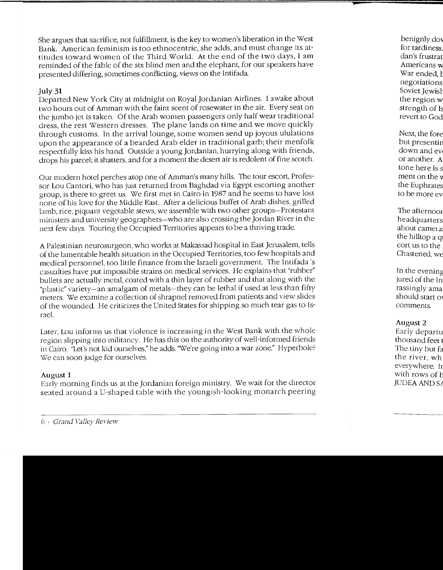She argues that sacrifice, not fulfillment, is the key to women's liberation in the West Bank. American feminism is too ethnocentric, she adds, and must change its attitudes toward women of the Third World. At the end of the two days, I am reminded of the fable of the six blind men and the elephant, for our speakers have presented differing, sometimes conflicting, views on the Intifada\_

## **July 31**

Departed New York City at midnight on Royal]ordanian Airlines. I awake about two hours out of Amman with the faint scent of rosewater in the air. Every seat on the jumbo jet is taken. Of the Arab women passengers only half wear traditional dress, the rest Western dresses. The plane lands on time and we move quickly through customs. In the arrival lounge, some women send up joyous ululations upon the appearance of a bearded Arab elder in traditional garb; their menfolk respectfully kiss his hand. Outside a young Jordanian, hurrying along with friends, drops his parcel; it shatters, and for a moment the desert air is redolent of fine scotch.

Our modern hotel perches atop one of Amman's many hills. The tour escort, Professor Lou Cantori, who has just returned from Baghdad via Egypt escorting another group, is there to greet us. \'Ve first met in Cairo in 1987 and he seems to have lost none of his love for the Middle East. After a delicious buffet of Arab dishes, grilled lamb, rice, piquant vegetable stews, we assemble with two other groups-Protestant ministers and university geographers-who are also crossing the Jordan River in the next few days. Touring the Occupied Territories appears to be a thriving trade.

A Palestinian neurosurgeon, who works at Makassad hospital in East Jerusalem. tells of the lamentable health situation in the Occupied Territories, too few hospitals and medical personnel, too little finance from the Israeli government. The Intifada's casualties have put impossible strains on medical services. He explains that "rubber" bullets are actually metal, coated with a thin layer of rubber and that along with the \*plastic" variety-an amalgam of metals-they can be lethal if used at less than fifty meters. \'Ve examine a collection of shrapnel removed from patients and view slides of the wounded. He criticizes the United States for shipping so much tear gas to Israel.

Later, Lou informs us that violence is increasing in the West Bank with the whole region slipping into militancy. He has this on the authority of well-informed friends in Cairo. "Let's not kid ourselves," he adds. "We're going into a war zone." Hyperbole? We can soon judge for ourselves.

### August **1**

Early morning finds us at the Jordanian foreign ministry. We wait for the director seated around a U-shaped table with the youngish-looking monarch peering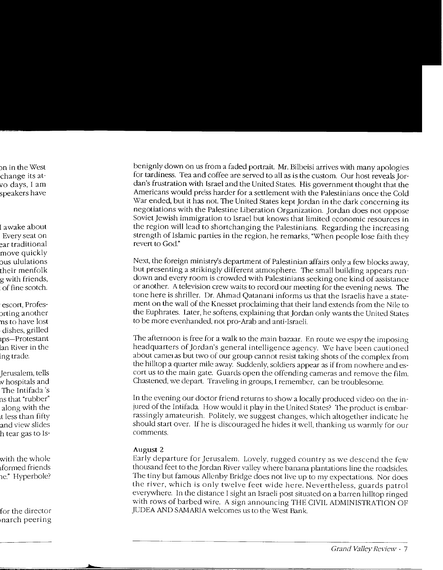benignly down on us from a faded portrait. Mr. Bilbeisi arrives with many apologies for tardiness. Tea and coffee are served to all as is the custom. Our host reveals Jordan's frustration with Israel and the United States. His government thought that the Americans would press harder for a settlement with the Palestinians once the Cold War ended, but it has not. The United States kept Jordan in the dark concerning its negotiations with the Palestine Liberation Organization. Jordan does not oppose Soviet Jewish immigration to Israel but knows that limited economic resources in the region will lead to shortchanging the Palestinians. Regarding the increasing strength of Islamic parties in the region, he remarks, "When people lose faith they revert to God."

Next, the foreign ministry's department of Palestinian affairs only a few blocks away, but presenting a strikingly different atmosphere. The small building appears rundown and every room is crowded with Palestinians seeking one kind of assistance or another. A television crew waits to record our meeting for the evening news. The tone here is shriller. Dr. Ahmad Qatanani informs us that the Israelis have a statement on the wall of the Knesset proclaiming that their land extends from the Nile to the Euphrates. Later, he softens, explaining that Jordan only wants the United States to be more evenhanded, not pro-Arab and anti-Israeli.

The afternoon is free for a walk to the main bazaar. En route we espy the imposing headquarters of Jordan's general intelligence agency. We have been cautioned about cameras but two of our group cannot resist taking shots of the complex from the hilltop a quarter mile away. Suddenly, soldiers appear as if from nowhere and escort us to the main gate. Guards open the offending cameras and remove the film. Chastened, we depart. Traveling in groups, I remember. can be troublesome.

In the evening our doctor friend returns to show a locally produced video on the injured of the Intifada. How would it play in the United States? The product is embarrassingly amateurish. Politely, we suggest changes, which altogether indicate he should start over. If he is discouraged he hides it well, thanking us warmly for our comments.

#### August 2

Early departure for Jerusalem. Lovely, rugged country as we descend the few thousand feet to the Jordan River valley \Vhere banana plantations line the roadsides. The tiny but famous Allenby Bridge does not live up to my expectations. Nor does the river, which is only twelve feet wide here. Nevertheless, guards patrol everywhere. In the distance I sight an Israeli post situated on a barren hilltop ringed with rows of barbed wire. A sign announcing THE CIVIL ADMINISTRATION OF JUDEA AND SAMARIA welcomes us to the West Bank.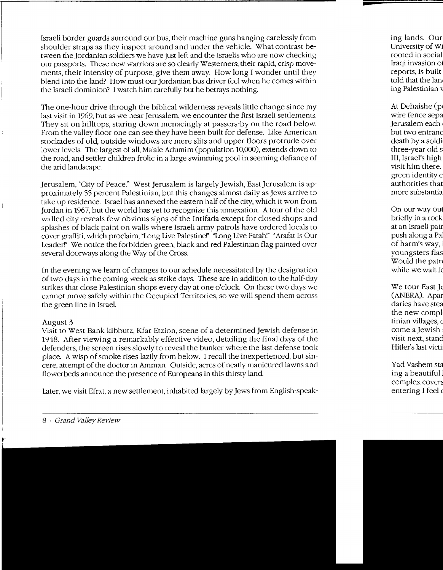Israeli border guards surround our bus, their machine guns hanging carelessly from shoulder straps as they inspect around and under the vehicle. What contrast between the Jordanian soldiers we have just left and the Israelis who are now checking our passports. These new warriors are so clearly\Vesterners; their rapid, crisp movements, their intensity of purpose, give them away. How long I wonder until they blend into the land? How must our Jordanian bus driver feel when he comes within the Israeli dominion? I watch him carefully but he betrays nothing.

The one-hour drive through the biblical wilderness reveals little change since my last visit in 1969, but as we near Jerusalem, we encounter the first Israeli settlements. They sit on hilltops, staring down menacingly at passers-by on the road below. From the valley floor one can see they have been built for defense. Like American stockades of old, outside windows are mere slits and upper floors protrude over lower levels. The largest of all, Ma'ale Adumim (population 10,000), extends down to the road, and settler children frolic in a large swimming pool in seeming defiance of the arid landscape.

Jerusalem, "City of Peace." West Jerusalem is largely Jewish, East Jerusalem is approximately 55 percent Palestinian, but this changes almost daily as Jews arrive to take up residence. Israel has annexed the eastern half of the city, which it won from Jordan in 1967, but the world has yet to recognize this annexation. A tour of the old walled city reveals few obvious signs of the Intifada except for closed shops and splashes of black paint on walls where Israeli army patrols have ordered locals to cover graffiti, which proclaim, "Long Live Palestine!" "Long Live Fatah!" "Arafat Is Our Leader!" We notice the forbidden green, black and red Palestinian flag painted over several doorways along the Way of the Cross.

In the evening we learn of changes to our schedule necessitated by the designation of two days in the coming week as strike days. These are in addition to the half-day strikes that close Palestinian shops every day at one o'clock. On these two days we cannot move safely within the Occupied Territories, so we will spend them across the green line in Israel.

#### August 3

Visit to West Bank kibbutz, Kfar Etzion, scene of a determined Jewish defense in 1948. After viewing a remarkably effective video, detailing the final days of the defenders, the screen rises slowly to reveal the bunker where the last defense took place. A wisp of smoke rises lazily from below. I recall the inexperienced, but sincere, attempt of the doctor in Amman. Outside, acres of neatly manicured lawns and flower beds announce the presence of Europeans in this thirsty land.

Later, we visit Efrat, a new settlement, inhabited largely by Jews from English-speak-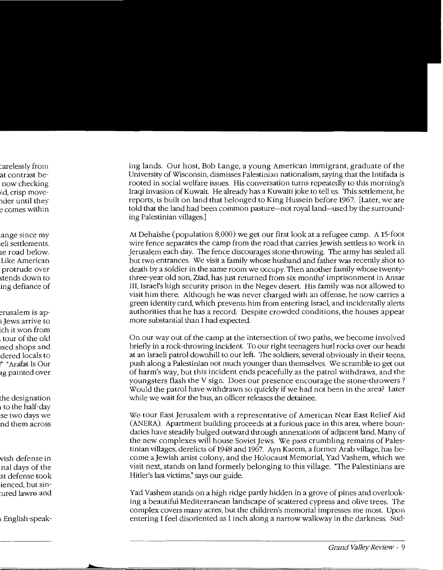ing lands. Our host, Bob Lange, a young American immigrant, graduate of the University of Wisconsin, dismisses Palestinian nationalism, saying that the Intifada is rooted in social welfare issues. His conversation turns repeatedly to this morning's Iraqi invasion of Kuwait He already has a Kuwaiti joke to tell us. This settlement, he reports, is built on land that belonged to King Hussein before 1967. [Later, we are told that the land had been common pasture-not royal land-used by the surrounding Palestinian villages.]

At Dehaishe (population 8,000) we get our first look at a refugee camp. A 15-foot wire fence separates the camp from the road that carries Jewish settlers to work in Jerusalem each day. The fence discourages stone-throwing. The army has sealed all but two entrances. We visit a family whose husband and father was recently shot to death by a soldier in the same room we occupy. Then another family whose twentythree-year old son, Ziad, has just returned from six months' imprisonment in Ansar III, Israel's high security prison in the Negev desert. His family was not allowed to visit him there. Although he was never charged with an offense, he now carries a green identity card, which prevents him from entering Israel and incidentally alerts authorities that he has a record. Despite crowded conditions, the houses appear more substantial than I had expected.

On our way out of the camp at the intersection of two paths, we become involved briefly in a rock-throwing incident. To our right teenagers hurl rocks over our heads at an Israeli patrol downhill to our left. The soldiers, several obviously in their teens, push along a Palestinian not much younger than themselves. We scramble to get out of harm's way, but this incident ends peacefully as the patrol withdraws, and the youngsters flash the V sign. Does our presence encourage the stone-throwers ? Would the patrol have withdrawn so quickly if we had not been in the area? Later while we wait for the bus, an officer releases the detainee.

We tour East Jerusalem with a representative of American Near East Relief Aid (ANERA). Apartment building proceeds at a furious pace in this area, where boundaries have steadily bulged outward through annexations of adjacent land. Many of the new complexes will house Soviet Jews. We pass crumbling remains of Palestinian villages, derelicts of 1948 and 1967. Ayn Karem, a former Arab village, has become a Jewish artist colony, and the Holocaust Memorial, Yad Vashem, which we visit next, stands on land formerly belonging to this village. "The Palestinians are Hitler's last victims," says our guide.

Yad Vashem stands on a high ridge partly hidden in a grove of pines and overlooking a beautiful Mediterranean landscape of scattered cypress and olive trees. The complex covers many acres, but the children's memorial impresses me most. Upon entering I feel disoriented as I inch along a narrow walkway in the darkness. Sud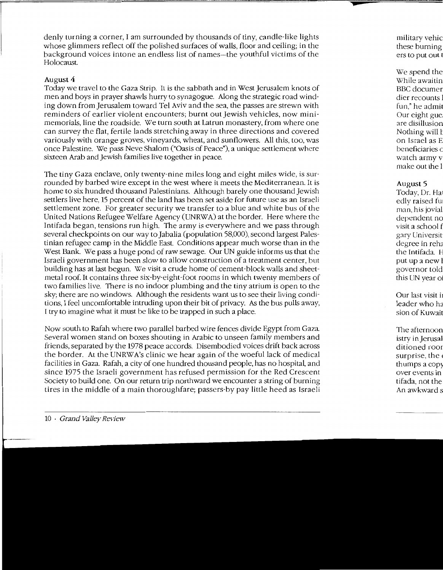denly turning a corner, I am surrounded by thousands of tiny, candle-like lights whose glimmers reflect off the polished surfaces of walls, floor and ceiling; in the background voices intone an endless list of names-the youthful victims of the Holocaust.

#### August 4

Today we travel to the Gaza Strip. It is the sabbath and in West Jerusalem knots of men and boys in prayer shawls hurry to synagogue. Along the strategic road winding down from Jerusalem toward Tel Aviv and the sea, the passes are strewn with reminders of earlier violent encounters; burnt out Jewish vehicles, now minimemorials, line the roadside. We turn south at Latrun monastery, from where one can survey the flat, fertile lands stretching away in three directions and covered variously with orange groves, vineyards, wheat, and sunflowers. All this, too, was once Palestine. We pass Neve Shalom ("Oasis of Peace"), a unique settlement where sixteen Arab and Jewish families live together in peace.

The tiny Gaza enclave, only twenty-nine miles long and eight miles wide, is surrounded by barbed wire except in the west where it meets the Mediterranean. It is home to six hundred thousand Palestinians. Although barely one thousand Jewish settlers live here, 15 percent of the land has been set aside for future use as an Israeli settlement zone. For greater security we transfer to a blue and white bus of the United Nations Refugee Welfare Agency (UNRWA) at the border. Here where the Intifada began, tensions run high. The army is everywhere and we pass through several checkpoints on our way to Jabalia (population 58,000), second largest Palestinian refugee camp in the Middle East. Conditions appear much worse than in the West Bank. We pass a huge pond of raw sewage. Our UN guide informs us that the Israeli government has been slow to allow construction of a treatment center, but building has at last begun. We visit a crude home of cement-block walls and sheetmetal roof. It contains three six-by-eight-foot rooms in which twenty members of two families live. There is no indoor plumbing and the tiny atrium is open to the sky; there are no windows. Although the residents want us to see their living conditions, I feel uncomfortable intruding upon their bit of privacy. As the bus pulls away, I try to imagine what it must be like to be trapped in such a place.

Now south to Rafah where two parallel barbed wire fences divide Egypt from Gaza. Several women stand on boxes shouting in Arabic to unseen family members and friends, separated by the 1978 peace accords. Disembodied voices drift back across the border. At the UNRW A's clinic we hear again of the woeful lack of medical facilities in Gaza. Rafah, a city of one hundred thousand people, has no hospital, and since 1975 the Israeli government has refused permission for the Red Crescent Society to build one. On our return trip northward we encounter a string of burning tires in the middle of a main thoroughfare; passers-by pay little heed as Israeli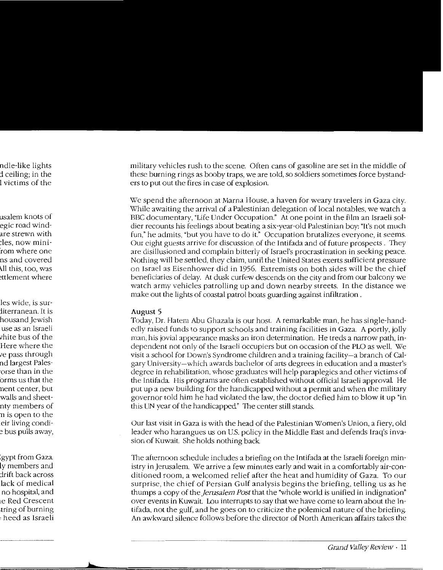military vehicles rush to the scene. Often cans of gasoline are set in the middle of these burning rings as booby traps, we are told, so soldiers sometimes force bystanders to put out the fires in case of explosion.

We spend the afternoon at Marna House, a haven for weary travelers in Gaza city. While awaiting the arrival of a Palestinian delegation of local notables, we watch a BBC documentary, "Life Under Occupation." At one point in the film an Israeli soldier recounts his feelings about beating a six-year-old Palestinian boy: "It's not much fun," he admits, "but you have to do it." Occupation brutalizes everyone, it seems. Our eight guests arrive for discussion of the Intifada and of future prospects . They are disillusioned and complain bitterly of Israel's procrastination in seeking peace. Nothing will be settled, they claim, until the United States exerts sufficient pressure on Israel as Eisenhower did in 1956. Extremists on both sides will be the chief beneficiaries of delay. At dusk curfew descends on the city and from our balcony we watch army vehicles patrolling up and down nearby streets. In the distance we make out the lights of coastal patrol boats guarding against infiltration .

#### **August** 5

Today, Dr. Hatem Abu Ghazala is our host. A remarkable man, he has single-handedly raised funds to support schools and training facilities in Gaza. A portly, jolly man, his jovial appearance masks an iron determination. He treds a narrow path, independent not only of the Israeli occupiers but on occasion of the PLO as well. We visit a school for Down's Syndrome children and a training facility-a branch of Calgary University-which awards bachelor of arts degrees in education and a master's degree in rehabilitation, whose graduates will help paraplegics and other victims of the Intifada. His programs are often established without official Israeli approval He put up a new building for the handicapped without a permit and when the military governor told him he had violated the law, the doctor defied him to blow it up "in this UN year of the handicapped" The center still stands.

Our last visit in Gaza is with the head of the Palestinian Women's Union, a fiery, old leader who harangues us on U.S. policy in the Middle East and defends Iraq's invasion of Kuwait. She holds nothing back

The afternoon schedule includes a briefing on the Intifada at the Israeli foreign ministry in Jerusalem. We arrive a few minutes early and wait in a comfortably air-conditioned room, a welcomed relief after the heat and humidity of Gaza. To our surprise, the chief of Persian Gulf analysis begins the briefing, telling us as he thumps a copy of the *jerusalem Post* that the "whole world is unified in indignation" over events in Kuwait. Lou interrupts to say that we have come to learn about the Intifada, not the gulf, and he goes on to criticize the polemical nature of the briefing. An awkward silence follows before the director of North American affairs takes the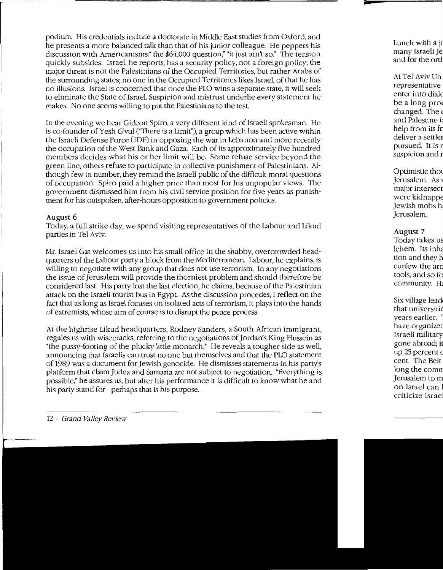podium. His credentials include a doctorate in Middle East studies from Oxford and he presents a more balanced talk than that of his junior colleague. He peppers his discussion with Americanisms:" the \$64,000 question," "it just ain't so." The tension quickly subsides. Israel, he reports, has a security policy, not a foreign policy; the major threat is not the Palestinians of the Occupied Territories, but rather Arabs of the surrounding states; no one in the Occupied Territories likes Israel, of that he has no illusions. Israel is concerned that once the PLO wins a separate state, it will seek to eliminate the State of Israel. Suspicion and mistrust underlie every statement he makes. No one seems willing to put the Palestinians to the test

In the evening we hear Gideon Spiro, a very different kind of Israeli spokesman. He is co-founder of Yesh G'vul ("There is a Limit"), a group which has been active within the Israeli Defense Force (IDF) in opposing the war in Lebanon and more recently the occupation of the West Bank and Gaza. Each of its approximately five hundred members decides what his or her limit will be. Some refuse service beyond the green line, others refuse to participate in collective punishment of Palestinians. Although few in number, they remind the Israeli public of the difficult moral questions of occupation. Spiro paid a higher price than most for his unpopular views. The government dismissed him from his civil service position for five years as punishment for his outspoken, after-hours opposition to government policies.

## August 6

Today, a full strike day, we spend visiting representatives of the Labour and Likud parties in Tel Aviv.

Mr. Israel Gat welcomes us into his small office in the shabby, overcrowded headquarters of the Labour party a block from the Mediterranean. Labour, he explains, is willing to negotiate with any group that does not use terrorism. In any negotiations the issue of Jerusalem will provide the thorniest problem and should therefore be considered last. His party lost the last election, he claims, because of the Palestinian attack on the Israeli tourist bus in Egypt. As the discussion procedes, I reflect on the fact that as long as Israel focuses on isolated acts of terrorism, it plays into the hands of extremists, whose aim of course is to disrupt the peace process.

At the highrise Likud headquarters, Rodney Sanders, a South African immigrant, regales us with wisecracks, referring to the negotiations of Jordan's King Hussein as "the pussy-footing of the plucky little monarch." He reveals a tougher side as well, announcing that Israelis can trust no one but themselves and that the PLO statement of 1989 was a document for Jewish genocide. He dismisses statements in his party's platform that claim Judea and Samaria are not subject to negotiation. "Everything is possible," he assures us, but after his performance it is difficult to know what he and his party stand for-perhaps that is his purpose.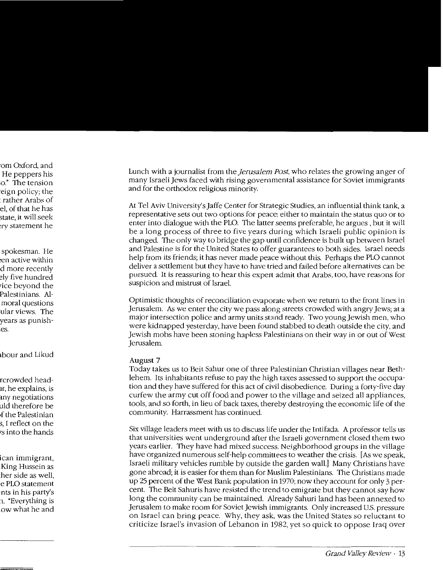Lunch with a journalist from the *jerusalem Post,* who relates the growing anger of many Israeli Jews faced with rising governmental assistance for Soviet immigrants and for the orthodox religious minority.

At Tel Aviv University's Jaffe Center for Strategic Studies, an influential think tank, a representative sets out two options for peace: either to maintain the status quo or to enter into dialogue with the PLO. The latter seems preferable, he argues , but it will be a long process of three to five years during which Israeli public opinion is changed. The only way to bridge the gap until confidence is built up between Israel and Palestine is for the United States to offer guarantees to both sides. Israel needs help from its friends; it has never made peace without this. Perhaps the PLO cannot deliver a settlement but they have to have tried and failed before alternatives can be pursued. It is reassuring to hear this expert admit that Arabs, too, have reasons for suspicion and mistrust of Israel.

Optimistic thoughts of reconciliation evaporate when we return to the front lines in Jerusalem. As we enter the city we pass along streets crowded with angry Jews; at a major intersection police and army units stand ready. Two young Jewish men, who were kidnapped yesterday, have been found stabbed to death outside the city, and Jewish mobs have been stoning hapless Palestinians on their way in or out of West Jerusalem.

#### **August** 7

Today takes us to Beit Sahur one of three Palestinian Christian villages near Bethlehem. Its inhabitants refuse to pay the high taxes assessed to support the occupation and they have suffered for this act of civil disobedience. During a forty-five day curfew the army cut off food and power to the village and seized all appliances, tools, and so forth, in lieu of back taxes, thereby destroying the economic life of the community. Harrassment has continued.

Six village leaders meet with us to discuss life under the Intifada. A professor tells us that universities went underground after the Israeli government closed them two years earlier. They have had mixed success. Neighborhood groups in the village have organized numerous self-help committees to weather the crisis. [As we speak, Israeli military vehicles rumble by outside the garden wall.] Many Christians have gone abroad; it is easier for them than for Muslim Palestinians. The Christians made up 25 percent of the West Bank population in 1970; now they account for only 3 percent. The Beit Sahuris have resisted the trend to emigrate but they cannot say how long the community can be maintained. Already Sahuri land has been annexed to Jerusalem to make room for Soviet Jewish immigrants. Only increased U.S. pressure on Israel can bring peace. Why, they ask, was the United States so reluctant to criticize Israel's invasion of Lebanon in 1982, yet so quick to oppose Iraq over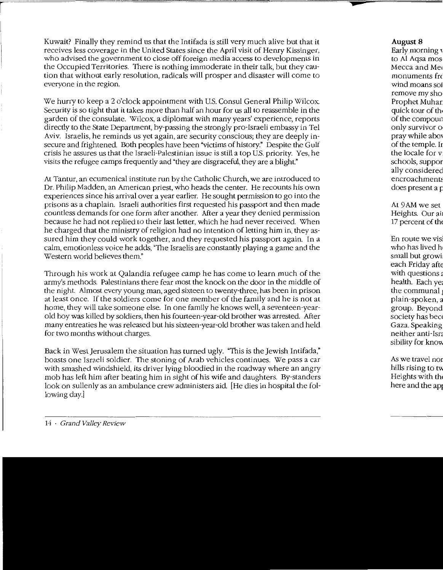Kuwait? Finally they remind us that the Intifada is still very much alive but that it receives less coverage in the United States since the April visit of Henry Kissinger, who advised the government to close off foreign media access to developments in the Occupied Territories. There is nothing immoderate in their talk, but they caution that without early resolution, radicals will prosper and disaster will come to everyone in the region.

We hurry to keep a 2 o'clock appointment with U.S. Consul General Philip Wilcox. Security is so tight that it takes more than half an hour for us all to reassemble in the garden of the consulate. \Vilcox, a diplomat with many years' experience, reports directly to the State Department, by-passing the strongly pro-Israeli embassy in Tel Aviv. Israelis, he reminds us yet again, are security conscious; they are deeply insecure and frightened. Both peoples have been "victims of history." Despite the Gulf crisis he assures us that the Israeli-Palestinian issue is still a top U.S. priority. Yes, he visits the refugee camps frequently and "they are disgraceful, they are a blight."

At Tantur, an ecumenical institute run by the Catholic Church, we are introduced to Dr. Philip Madden, an American priest, who heads the center. He recounts his own experiences since his arrival over a year earlier. He sought permission to go into the prisons as a chaplain. Israeli authorities first requested his passport and then made countless demands for one form after another. After a year they denied permission because he had not replied to their last letter, which he had never received. When he charged that the ministry of religion had no intention of letting him in, they assured him they could work together, and they requested his passport again. In a calm, emotionless voice he adds, "The Israelis are constantly playing a game and the Western world believes them."

Through his work at Qalandia refugee camp he has come to learn much of the army's methods. Palestinians there fear most the knock on the door in the middle of the night. Almost every young man, aged sixteen to twenty-three, has been in prison at least once. If the soldiers come for one member of the family and he is not at home, they will take someone else. In one family he knows well, a seventeen-yearold boy was killed by soldiers, then his fourteen-year-old brother was arrested. After many entreaties he was released but his sixteen-year-old brother was taken and held for two months without charges.

Back in West Jerusalem the situation has turned ugly. "This is the Jewish Intifada," boasts one Israeli soldier. The stoning of Arab vehicles continues. \Ve pass a car with smashed windshield, its driver lying bloodied in the roadway where an angry mob has left him after beating him in sight of his wife and daughters. By-standers look on sullenly as an ambulance crew administers aid. [He dies in hospital the following day.)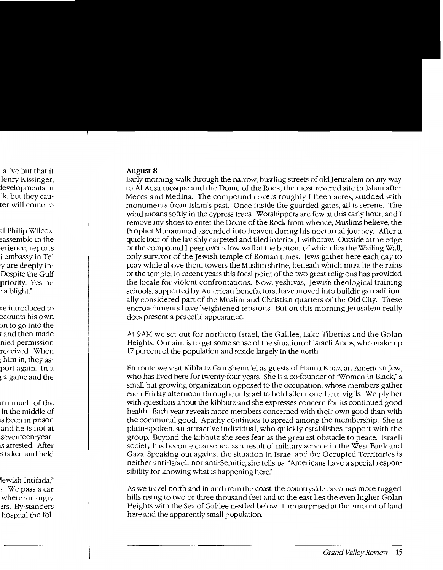#### **August 8**

Early morning walk through the narrow, bustling streets of old Jerusalem on my way to Al Aqsa mosque and the Dome of the Rock, the most revered site in Islam after Mecca and Medina. The compound covers roughly fifteen acres, studded with monuments from Islam's past. Once inside the guarded gates, all is serene. The wind moans softly in the cypress trees. Worshippers are few at this early hour, and I remove my shoes to enter the Dome of the Rock from whence, Muslims believe, the Prophet Muhammad ascended into heaven during his nocturnal journey. After a quick tour of the lavishly carpeted and tiled interior, I withdraw. Outside at the edge of the compound I peer over a low wall at the bottom of which lies the Wailing Wall, only survivor of the Jewish temple of Roman times. Jews gather here each day to pray while above them towers the Muslim shrine, beneath which must lie the ruins of the temple. In recent years this focal point of the two great religions has provided the locale for violent confrontations. Now, yeshivas, Jewish theological training schools, supported by American benefactors, have moved into buildings traditionally considered part of the Muslim and Christian quarters of the Old City. These encroachments have heightened tensions. But on this morning Jerusalem really does present a peaceful appearance.

At 9AM we set out for northern Israel, the Galilee, Lake Tiberias and the Golan Heights. Our aim is to get some sense of the situation of Israeli Arabs, who make up 17 percent of the population and reside largely in the north.

En route we visit Kibbutz Gan Shemu'el as guests of Hanna Knaz, an American Jew, who has lived here for twenty-four years. She is a co-founder of "Women in Black," a small but growing organization opposed to the occupation, whose members gather each Friday afternoon throughout Israel to hold silent one-hour vigils. We ply her with questions about the kibbutz and she expresses concern for its continued good health. Each year reveals more members concerned with their own good than with the communal good. Apathy continues to spread among the membership. She is plain-spoken, an attractive individual, who quickly establishes rapport with the group. Beyond the kibbutz she sees fear as the greatest obstacle to peace. Israeli society has become coarsened as a result of military service in the West Bank and Gaza. Speaking out against the situation in Israel and the Occupied Territories is neither anti-Israeli nor anti-Semitic, she tells us: "Americans have a special responsibility for knowing what is happening here."

As we travel north and inland from the coast, the countryside becomes more rugged, hills rising to two or three thousand feet and to the east lies the even higher Golan Heights with the Sea of Galilee nestled below. I am surprised at the amount of land here and the apparently small population.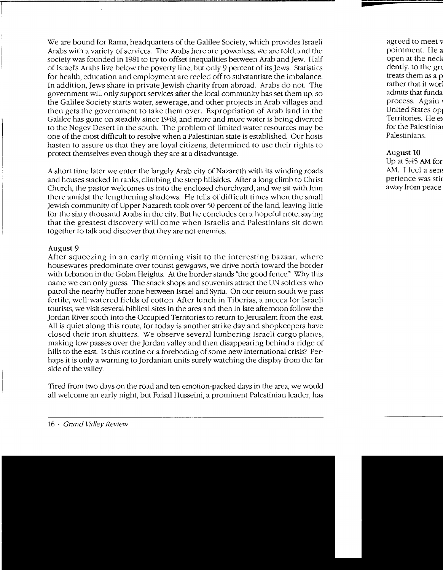We are bound for Rama, headquarters of the Galilee Society, which provides Israeli Arabs with a variety of services. The Arabs here are powerless, we are told, and the society was founded in 1981 to try to offset inequalities between Arab and Jew. Half of Israel's Arabs live below the poverty line, but only 9 percent of its Jews. Statistics for health, education and employment are reeled off to substantiate the imbalance. In addition, Jews share in private Jewish charity from abroad. Arabs do not. The government will only support services after the local community has set them up, so the Galilee Society starts water, sewerage, and other projects in Arab villages and then gets the government to take them over. Expropriation of Arab land in the Galilee has gone on steadily since 1948, and more and more water is being diverted to the Negev Desert in the south. The problem of limited water resources may be one of the most difficult to resolve when a Palestinian state is established. Our hosts hasten to assure us that they are loyal citizens, determined to use their rights to protect themselves even though they are at a disadvantage.

A short time later we enter the largely Arab city of Nazareth with its winding roads and houses stacked in ranks, climbing the steep hillsides. After a long climb to Christ Church, the pastor welcomes us into the enclosed churchyard, and we sit with him there amidst the lengthening shadows. He tells of difficult times when the small Jewish community of Upper Nazareth took over 50 percent of the land, leaving little for the sixty thousand Arabs in the city. But he concludes on a hopeful note, saying that the greatest discovery will come when Israelis and Palestinians sit down together to talk and discover that they are not enemies.

#### August 9

After squeezing in an early morning visit to the interesting bazaar, where housewares predominate over tourist gewgaws, we drive north toward the border with Lebanon in the Golan Heights. At the border stands "the good fence." Why this name we can only guess. The snack shops and souvenirs attract the UN soldiers who patrol the nearby buffer zone between Israel and Syria. On our return south we pass fertile, well-watered fields of cotton. After lunch in Tiberias, a mecca for Israeli tourists, we visit several biblical sites in the area and then in late afternoon follow the Jordan River south into the Occupied Territories to return to Jerusalem from the east. All is quiet along this route, for today is another strike day and shopkeepers have closed their iron shutters. We observe several lumbering Israeli cargo planes, making low passes over the Jordan valley and then disappearing behind a ridge of hills to the east. Is this routine or a foreboding of some new international crisis? Perhaps it is only a warning to Jordanian units surely watching the display from the far side of the valley.

Tired from two days on the road and ten emotion-packed days in the area, we would all welcome an early night, but Faisal Husseini, a prominent Palestinian leader, has